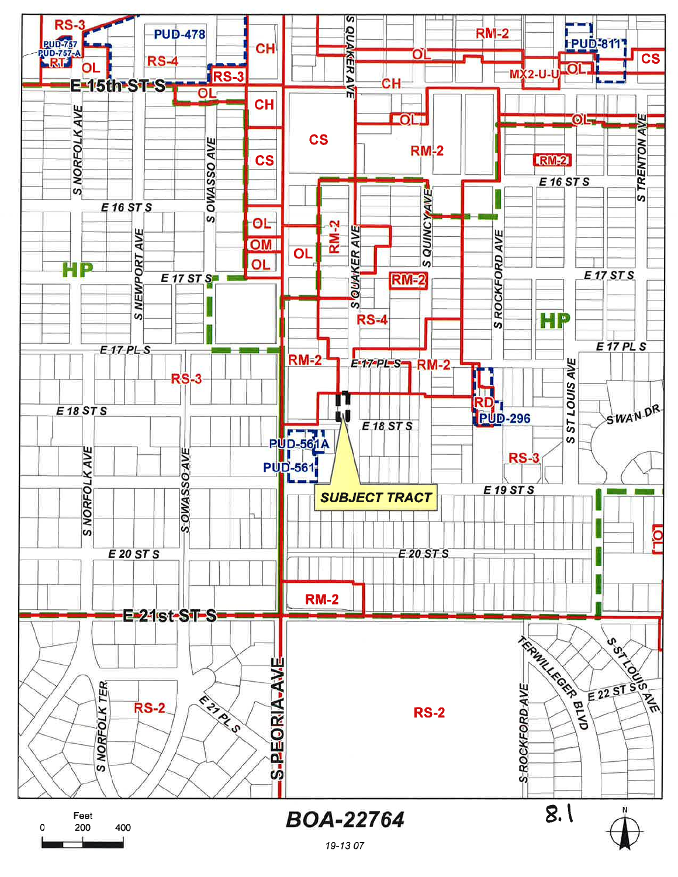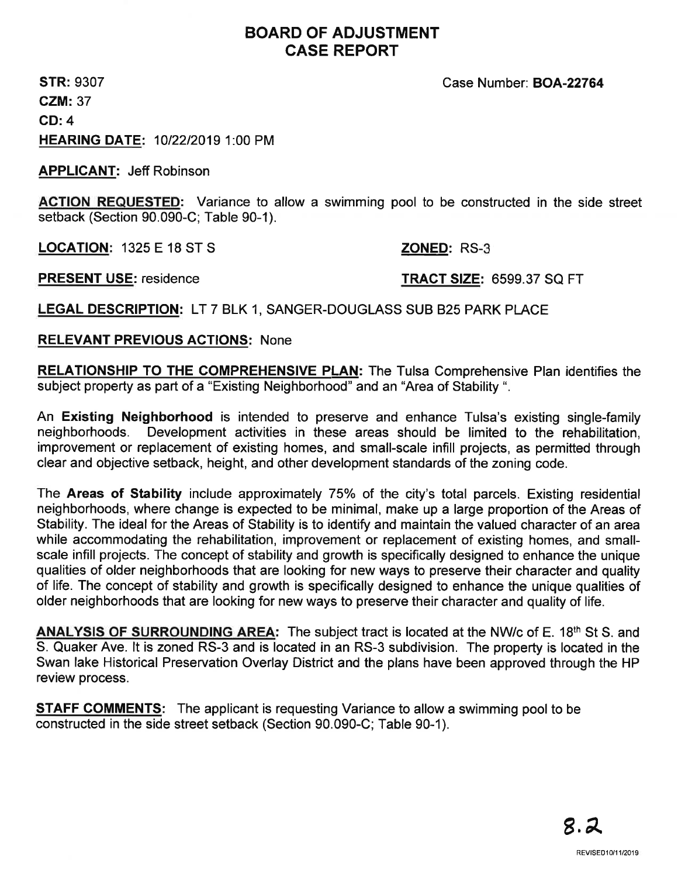# BOARD OF ADJUSTMENT CASE REPORT

STR: 9307 CZM:37 CD:4 HEARING DATE: 1012212019 1:00 PM

APPLICANT: Jeff Robínson

ACTION REQUESTED: Variance to allow a swimming pool to be constructed in the side street setback (Section 90.090-C; Table 90-1).

LOCATION: 1325 E 18 ST S ZONED: RS-3

# PRESENT USE: residence TRACT SIZE: 6599.37 SQ FT

Case Number: BOA-22764

LEGAL DESCRIPTION: LT 7 BLK 1, SANGER-DOUGLASS SUB B25 PARK PLACE

RELEVANT PREVIOUS ACTIONS: None

RELATIONSHIP TO THE COMPREHENSIVE PLAN: The Tulsa Comprehensive Plan identifies the subject property as part of a "Existing Neighborhood" and an "Area of Stability ".

An Existing Neighborhood is intended to preserve and enhance Tulsa's existing single-family neighborhoods. Development activities in these areas should be limited to the rehabilitation, improvement or replacement of existing homes, and small-scale infill projects, as permitted through clear and objective setback, height, and other development standards of the zoning code.

The Areas of Stability include approximately 75% of the city's total parcels. Existing residential neighborhoods, where change is expected to be minimal, make up a large proportion of the Areas of Stability. The ideal for the Areas of Stability is to identify and maintain the valued character of an area while accommodating the rehabilitation, improvement or replacement of existing homes, and smallscale infill projects. The concept of stability and growth is specifically designed to enhance the unique qualities of older neighborhoods that are looking for new ways to preserve their character and quality of life. The concept of stability and growth is specifically designed to enhance the unique qualities of older neighborhoods that are looking for new ways to preserve their character and quality of life.

ANALYSIS OF SURROUNDING AREA: The subject tract is located at the NW/c of E. 18<sup>th</sup> St S. and S. Quaker Ave. lt is zoned RS-3 and is located in an RS-3 subdivision. The property is located in the Swan lake Historical Preservation Overlay District and the plans have been approved through the HP review process.

**STAFF COMMENTS:** The applicant is requesting Variance to allow a swimming pool to be constructed in the side street setback (Section 90.090-C; Table 90-1).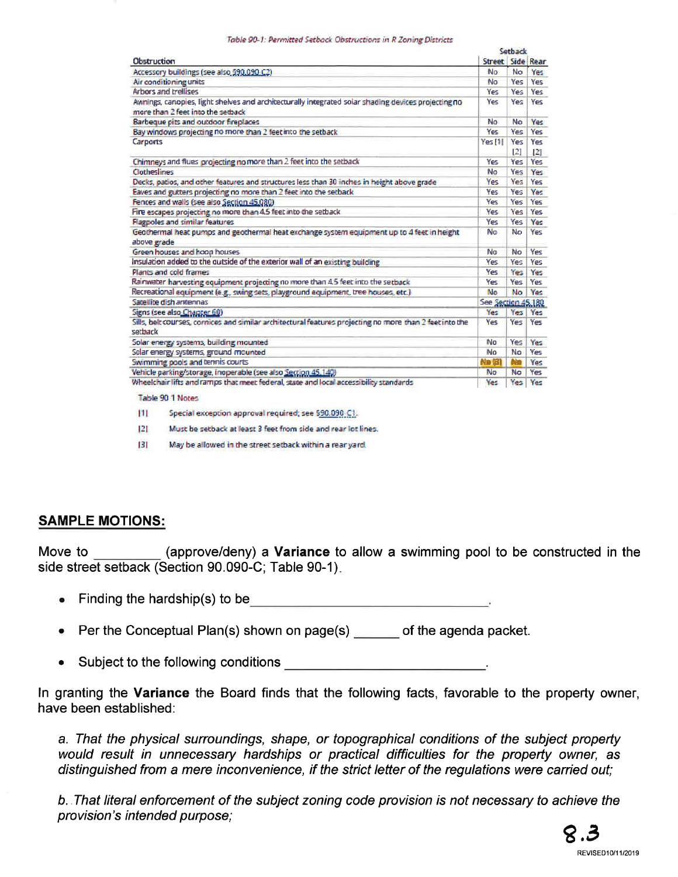### Table 90-1: Permitted Setback Obstructions in R Zoning Districts

| <b>Obstruction</b>                                                                                                                       | Setback            |            |            |
|------------------------------------------------------------------------------------------------------------------------------------------|--------------------|------------|------------|
|                                                                                                                                          | Street Side Rear   |            |            |
| Accessory buildings (see also 590,090 C2)                                                                                                | No                 | No.        | Yes        |
| Air conditioning units                                                                                                                   | No                 | Yes        | Yes        |
| Arbors and trellises                                                                                                                     | Yes                | Yes        | Yes        |
| Awnings, canopies, light shelves and architecturally integrated solar shading devices projecting no<br>more than 2 feet into the setback | Yes:               | Yes        | Yes        |
| Barbeque pits and outdoor fireplaces                                                                                                     | No                 | No         | Yes        |
| Bay windows projecting no more than 2 feet into the setback                                                                              | Yes                | Yes        | <b>Yes</b> |
| Carports                                                                                                                                 | Yes [1]            | Yes<br>[2] | Yes<br> 21 |
| Chimneys and flues projecting no more than 2 feet into the setback                                                                       | Yes                | Yes        | Yes.       |
| Clotheslines                                                                                                                             | No                 | Yes:       | Yes        |
| Decks, patios, and other features and structures less than 30 inches in height above grade                                               | <b>Yes</b>         | Yes        | Yes        |
| Eaves and gutters projecting no more than 2 feet into the setback                                                                        | Yes                | Yes.       | Yes        |
| Fences and walls (see also Section 45.080)                                                                                               | Yes                | Yes        | Yes        |
| Fire escapes projecting no more than 4.5 feet into the setback                                                                           | <b>Yes</b>         | Yes        | Yes        |
| <b>Flagpoles and similar features</b>                                                                                                    | Yes                | Yes        | Yes        |
| Geothermal heat pumps and geothermal heat exchange system equipment up to 4 feet in height<br>above grade                                | No                 | No         | Yes        |
| Green houses and hoop houses                                                                                                             | No                 | No         | Yes        |
| Insulation added to the outside of the exterior wall of an existing building                                                             | Yes                | Yes        | <b>Yes</b> |
| Plants and cold frames                                                                                                                   | Yes                | Yes        | Yes        |
| Raimwater harvesting equipment projecting no more than 4.5 feet into the setback                                                         | Yes:               | Yes        | <b>Yes</b> |
| Recreational equipment (e.g., swing sets, playground equipment, tree houses, etc.)                                                       | No.                | No.        | Yes        |
| Satellite dish antennas                                                                                                                  | See Section 45,180 |            |            |
| Signs (see also Chapter 60)                                                                                                              | Yes                | Yes        | Yes        |
| Sills, belt courses, cornices and similar architectural features projecting no more than 2 feet into the<br>sethack                      | Yes.               | Yes        | Yes        |
| Solar energy systems, building mounted                                                                                                   | No                 | Yes        | Yes        |
| Solar energy systems, ground mounted                                                                                                     | Mn                 | No         | <b>Yes</b> |
| Swimming pools and termis courts                                                                                                         | <b>No fai</b>      | bla        | Yes        |
| Vehicle parking/storage, inoperable (see also Section 45,140)                                                                            | <b>No</b>          | <b>No</b>  | Yes        |
| Wheelchair lifts and ramps that meet federal, state and local accessibility standards                                                    | Yes                |            | Yes Yes    |

### Table 90 1 Notes

 $111$ Special exception approval required; see \$90,090 C1.

 $|2|$ Must be setback at least 3 feet from side and rear lot lines.

 $131$ May be allowed in the street setback within a rear yard.

## **SAMPLE MOTIONS:**

(approve/deny) a **Variance** to allow a swimming pool to be constructed in the Move to side street setback (Section 90.090-C; Table 90-1).

- Finding the hardship(s) to be
- Per the Conceptual Plan(s) shown on page(s) of the agenda packet.  $\bullet$
- Subject to the following conditions  $\bullet$

In granting the Variance the Board finds that the following facts, favorable to the property owner, have been established:

a. That the physical surroundings, shape, or topographical conditions of the subject property would result in unnecessary hardships or practical difficulties for the property owner, as distinguished from a mere inconvenience, if the strict letter of the regulations were carried out;

b. That literal enforcement of the subject zoning code provision is not necessary to achieve the provision's intended purpose;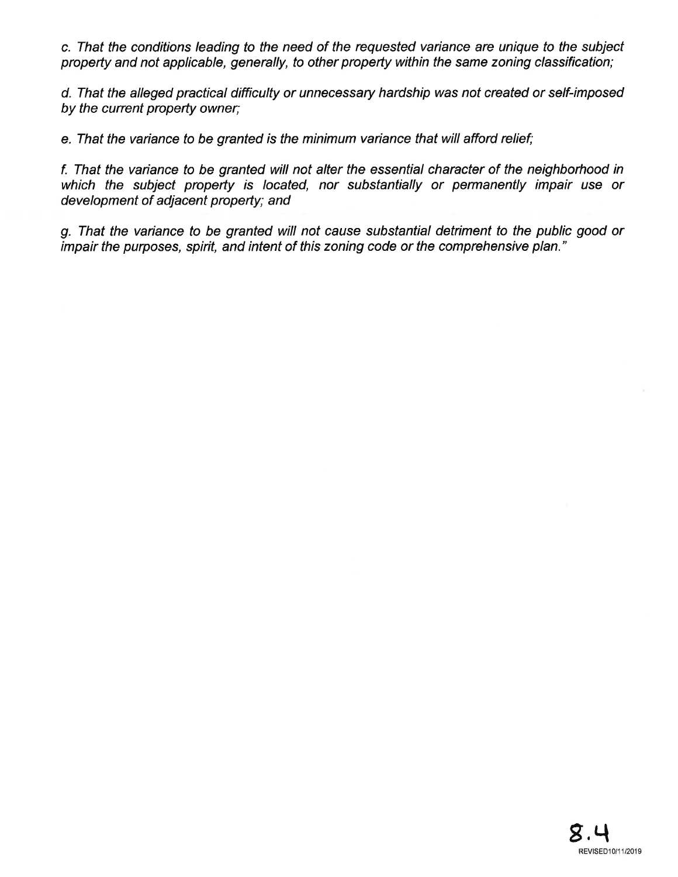c. That the conditions leading to the need of the requested varíance are unique to the subject property and not applicable, generally, to other propefty within the same zoning classification;

d. That the alleged practical difficulty or unnecessary hardship was not created or self-imposed by the current property owner;

e. That the variance to be granted is the minimum variance that will afford relief;

f. That the variance to be granted will not alter fhe essential character of the neighborhood in which the subject property is located, nor substantially or permanently impair use or development of adjacent property; and

g. That the variance to be granted will not cause substantial detriment to the public good or impair the purposes, spirit, and intent of this zoning code or the comprehensive plan."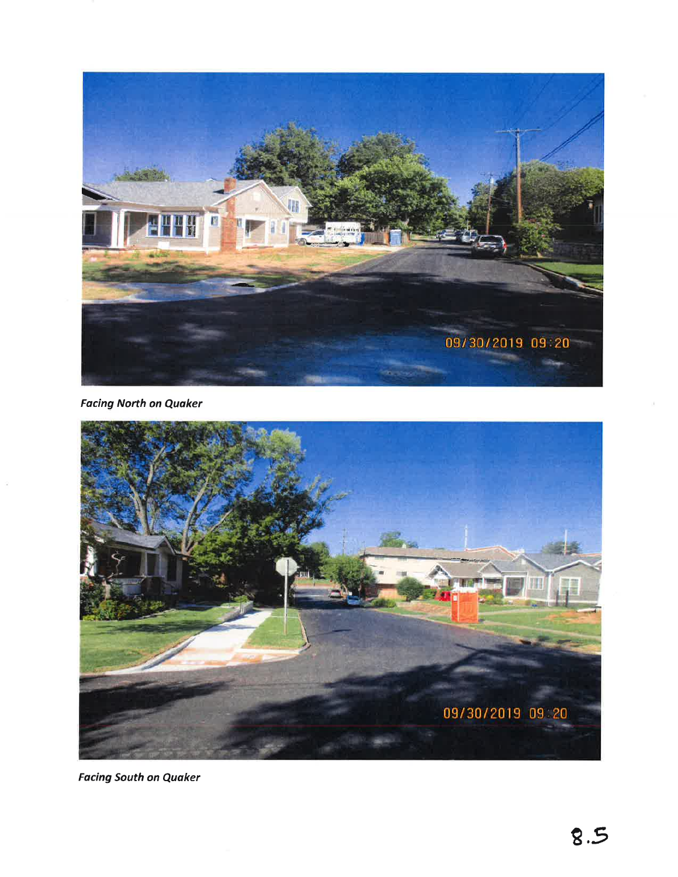

**Facing North on Quaker** 



**Facing South on Quaker**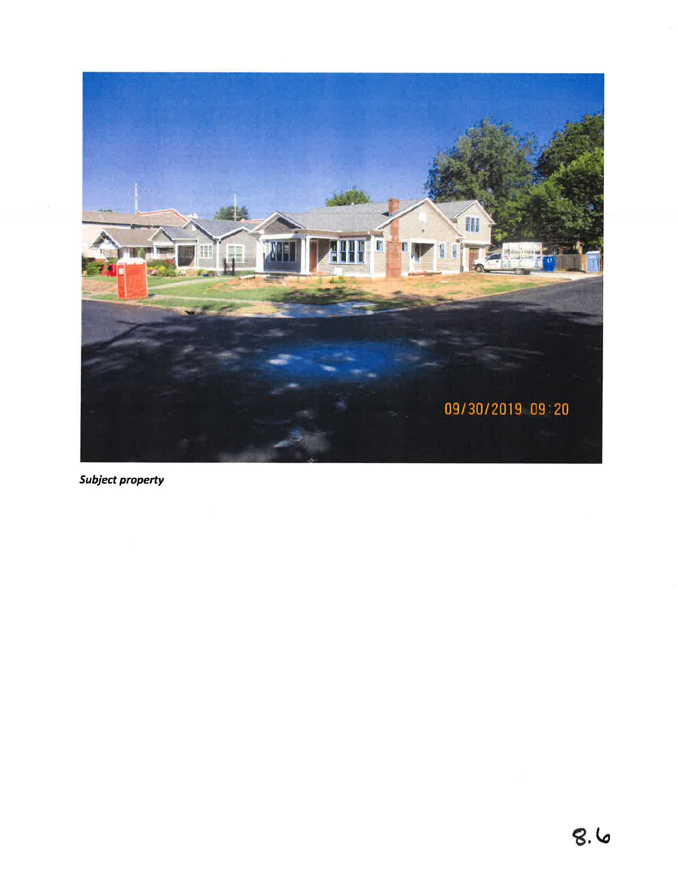

Subject property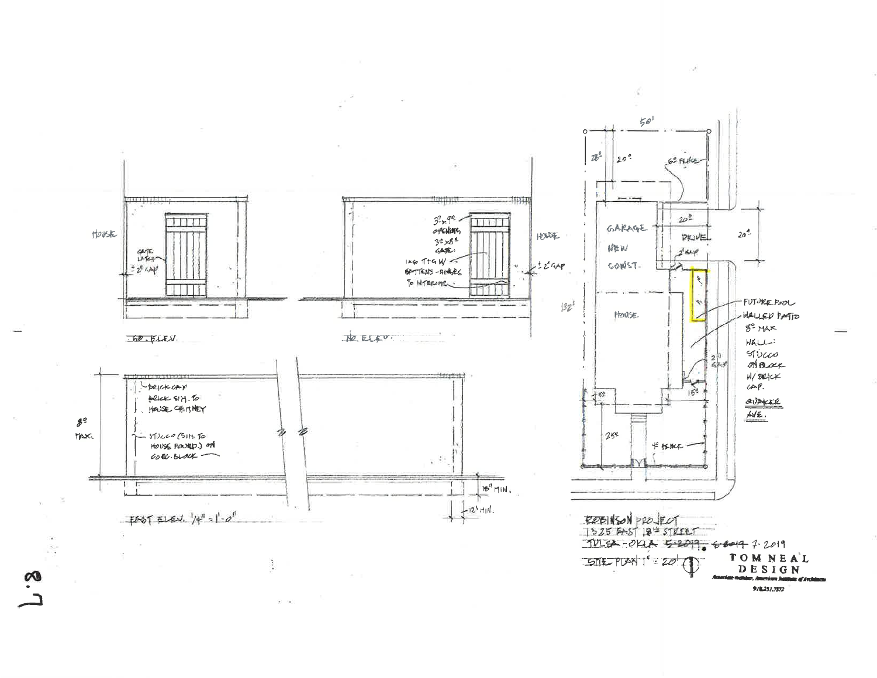

 $\infty$ 

9/8231.7372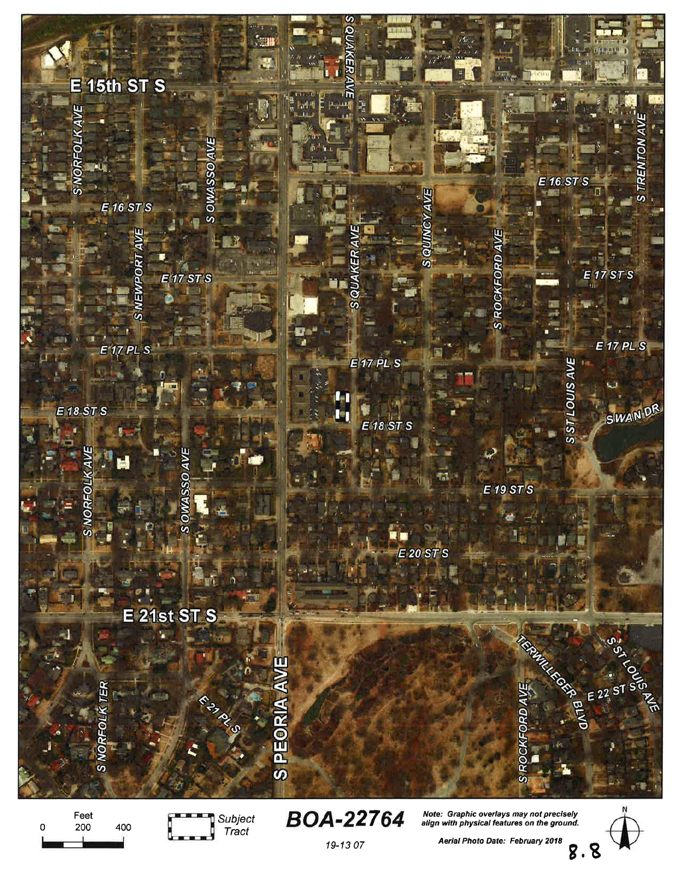

19-13 07 Aefial Photo Date: Februdry 2018 9.8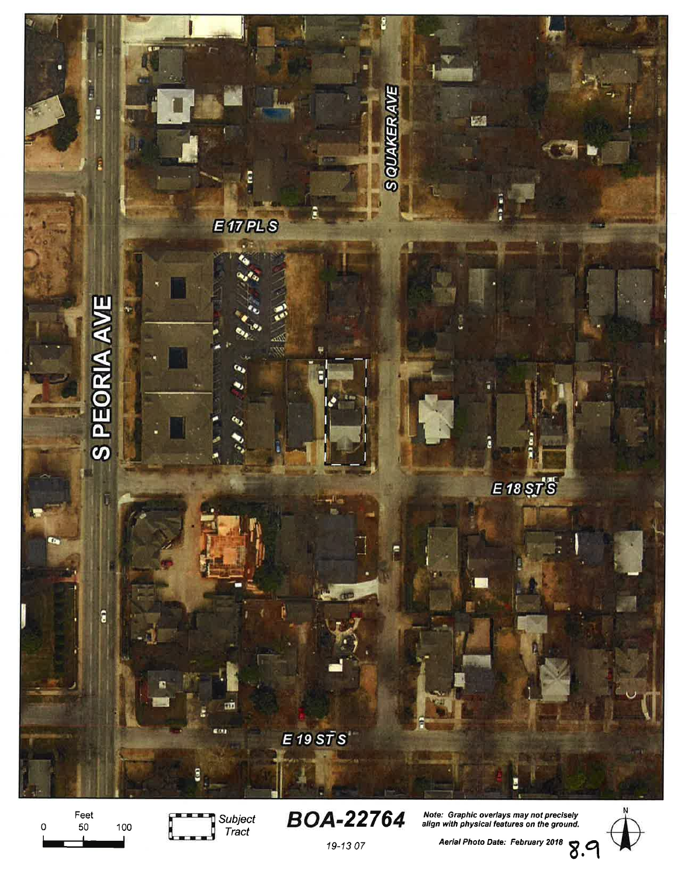

Feet 50  $\circ$ 100



Note: Graphic overlays may not precisely<br>align with physical features on the ground.

Aerial Photo Date: February 2018  $8.9$ 



19-13 07